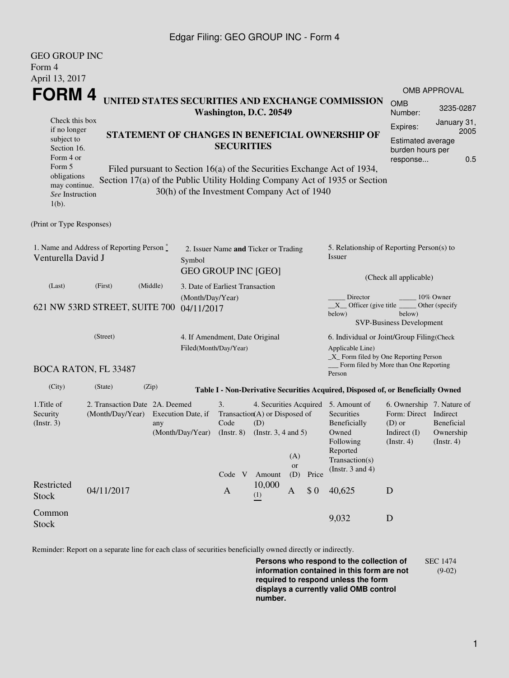## Edgar Filing: GEO GROUP INC - Form 4

GEO GROUP INC

| UEU UKUUP INC<br>Form 4                                                                                                                                                                                                                                                       |                                                    |                                        |                                                                              |                                                                                            |               |                                                                                                                                                    |                                                                  |                                                                                                         |                                             |                     |  |  |
|-------------------------------------------------------------------------------------------------------------------------------------------------------------------------------------------------------------------------------------------------------------------------------|----------------------------------------------------|----------------------------------------|------------------------------------------------------------------------------|--------------------------------------------------------------------------------------------|---------------|----------------------------------------------------------------------------------------------------------------------------------------------------|------------------------------------------------------------------|---------------------------------------------------------------------------------------------------------|---------------------------------------------|---------------------|--|--|
| April 13, 2017                                                                                                                                                                                                                                                                |                                                    |                                        |                                                                              |                                                                                            |               |                                                                                                                                                    |                                                                  |                                                                                                         |                                             | <b>OMB APPROVAL</b> |  |  |
| FORM 4<br>UNITED STATES SECURITIES AND EXCHANGE COMMISSION<br>Washington, D.C. 20549                                                                                                                                                                                          |                                                    |                                        |                                                                              |                                                                                            |               |                                                                                                                                                    |                                                                  |                                                                                                         | <b>OMB</b><br>Number:                       | 3235-0287           |  |  |
| Check this box<br>if no longer<br>subject to                                                                                                                                                                                                                                  | STATEMENT OF CHANGES IN BENEFICIAL OWNERSHIP OF    |                                        |                                                                              |                                                                                            |               |                                                                                                                                                    |                                                                  |                                                                                                         | Expires:                                    | January 31,<br>2005 |  |  |
| Section 16.<br>Form 4 or                                                                                                                                                                                                                                                      | <b>SECURITIES</b>                                  |                                        |                                                                              |                                                                                            |               |                                                                                                                                                    | Estimated average<br>burden hours per<br>0.5<br>response         |                                                                                                         |                                             |                     |  |  |
| Form 5<br>Filed pursuant to Section 16(a) of the Securities Exchange Act of 1934,<br>obligations<br>Section 17(a) of the Public Utility Holding Company Act of 1935 or Section<br>may continue.<br>30(h) of the Investment Company Act of 1940<br>See Instruction<br>$1(b)$ . |                                                    |                                        |                                                                              |                                                                                            |               |                                                                                                                                                    |                                                                  |                                                                                                         |                                             |                     |  |  |
| (Print or Type Responses)                                                                                                                                                                                                                                                     |                                                    |                                        |                                                                              |                                                                                            |               |                                                                                                                                                    |                                                                  |                                                                                                         |                                             |                     |  |  |
| 1. Name and Address of Reporting Person $\stackrel{*}{\mathbb{L}}$<br>Venturella David J                                                                                                                                                                                      |                                                    |                                        | 2. Issuer Name and Ticker or Trading<br>Symbol<br><b>GEO GROUP INC [GEO]</b> |                                                                                            |               |                                                                                                                                                    |                                                                  | 5. Relationship of Reporting Person(s) to<br>Issuer                                                     |                                             |                     |  |  |
| (Last)                                                                                                                                                                                                                                                                        | (First)                                            | (Middle)                               | 3. Date of Earliest Transaction                                              |                                                                                            |               |                                                                                                                                                    |                                                                  |                                                                                                         | (Check all applicable)                      |                     |  |  |
| 621 NW 53RD STREET, SUITE 700                                                                                                                                                                                                                                                 | (Month/Day/Year)<br>04/11/2017                     |                                        |                                                                              |                                                                                            |               | Director<br>10% Owner<br>$X$ Officer (give title $\overline{\phantom{a}}$<br>Other (specify<br>below)<br>below)<br><b>SVP-Business Development</b> |                                                                  |                                                                                                         |                                             |                     |  |  |
| (Street)                                                                                                                                                                                                                                                                      |                                                    |                                        |                                                                              | 4. If Amendment, Date Original<br>Filed(Month/Day/Year)                                    |               |                                                                                                                                                    |                                                                  | 6. Individual or Joint/Group Filing(Check<br>Applicable Line)<br>_X_ Form filed by One Reporting Person |                                             |                     |  |  |
|                                                                                                                                                                                                                                                                               | <b>BOCA RATON, FL 33487</b>                        |                                        |                                                                              |                                                                                            |               |                                                                                                                                                    |                                                                  | Person                                                                                                  | Form filed by More than One Reporting       |                     |  |  |
| (City)                                                                                                                                                                                                                                                                        | (State)                                            | (Zip)                                  |                                                                              |                                                                                            |               |                                                                                                                                                    |                                                                  | Table I - Non-Derivative Securities Acquired, Disposed of, or Beneficially Owned                        |                                             |                     |  |  |
| 1. Title of<br>Security<br>(Insert. 3)                                                                                                                                                                                                                                        | 2. Transaction Date 2A. Deemed<br>(Month/Day/Year) | Execution Date, if<br>(Month/Day/Year) | 3.<br>Code<br>$($ Instr. 8 $)$                                               | 4. Securities Acquired<br>Transaction(A) or Disposed of<br>(D)<br>(Instr. $3, 4$ and $5$ ) |               |                                                                                                                                                    | 5. Amount of<br>Securities<br>Beneficially<br>Owned<br>Following | 6. Ownership 7. Nature of<br>Form: Direct Indirect<br>$(D)$ or<br>Indirect $(I)$<br>$($ Instr. 4 $)$    | Beneficial<br>Ownership<br>$($ Instr. 4 $)$ |                     |  |  |
|                                                                                                                                                                                                                                                                               |                                                    |                                        |                                                                              | Code V                                                                                     | Amount        | (A)<br>or<br>(D)                                                                                                                                   | Price                                                            | Reported<br>Transaction(s)<br>(Instr. $3$ and $4$ )                                                     |                                             |                     |  |  |
| Restricted<br><b>Stock</b>                                                                                                                                                                                                                                                    | 04/11/2017                                         |                                        |                                                                              | $\mathbf{A}$                                                                               | 10,000<br>(1) | $\mathbf{A}$                                                                                                                                       | \$0                                                              | 40,625                                                                                                  | D                                           |                     |  |  |
| Common<br><b>Stock</b>                                                                                                                                                                                                                                                        |                                                    |                                        |                                                                              |                                                                                            |               |                                                                                                                                                    |                                                                  | 9,032                                                                                                   | D                                           |                     |  |  |

Reminder: Report on a separate line for each class of securities beneficially owned directly or indirectly.

**Persons who respond to the collection of information contained in this form are not required to respond unless the form displays a currently valid OMB control number.** SEC 1474 (9-02)